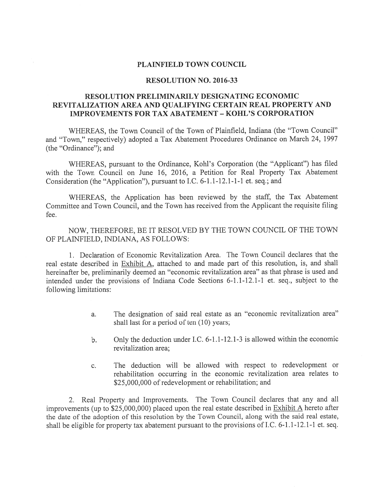## PLAINFIELD TOWN COUNCIL

#### RESOLUTION NO. 2016-33

# RESOLUTION PRELIMINARILY DESIGNATING ECONOMIC REVITALIZATION AREA AND QUALIFYING CERTAIN REAL PROPERTY AND IMPROVEMENTS FOR TAX ABATEMENT -KOHL'S CORPORATION

WHEREAS, the Town Council of the Town of Plainfield, Indiana (the "Town Council" and "Town," respectively) adopted <sup>a</sup> Tax Abatement Procedures Ordinance on March 24, <sup>1997</sup> (the "Ordinance"); and

WHEREAS, pursuan<sup>t</sup> to the Ordinance, Kohl's Corporation (the "Applicant") has filed with the Town Council on June 16, 2016, <sup>a</sup> Petition for Real Property Tax Abatement Consideration (the "Application"), pursuan<sup>t</sup> to I.C. 6-1.1-12.1-1-1 et. seq.; and

WHEREAS, the Application has been reviewed by the staff, the Tax Abatement Committee and Town Council, and the Town has received from the Applicant the requisite filing fee.

NOW, THEREFORE, BE IT RESOLVED BY THE TOWN COUNCIL OF THE TOWN OF PLAINFIELD, INDIANA, AS FOLLOWS:

1. Declaration of Economic Revitalization Area. The Town Council declares that the real estate described in Exhibit A, attached to and made par<sup>t</sup> of this resolution, is, and shall hereinafter be, preliminarily deemed an "economic revitalization area" as that <sup>p</sup>hrase is used and intended under the provisions of Indiana Code Sections 6-1.1-12.1-1 et. seq., subject to the following limitations:

- a. The designation of said real estate as an "economic revitalization area" shall last for a period of ten  $(10)$  years;
- b. Only the deduction under I.C. 6-1.1-12.1-3 is allowed within the economic revitalization area;
- c. The deduction will be allowed with respec<sup>t</sup> to redevelopment or rehabilitation occurring in the economic revitalization area relates to \$25,000,000 of redevelopment or rehabilitation; and

2. Real Property and Improvements. The Town Council declares that any and all improvements (up to \$25,000,000) <sup>p</sup>laced upon the real estate described in Exhibit <sup>A</sup> hereto after the date of the adoption of this resolution by the Town Council, along with the said real estate, shall be eligible for property tax abatement pursuan<sup>t</sup> to the provisions of I.C. 6-1 .1-12.1-1 et. seq.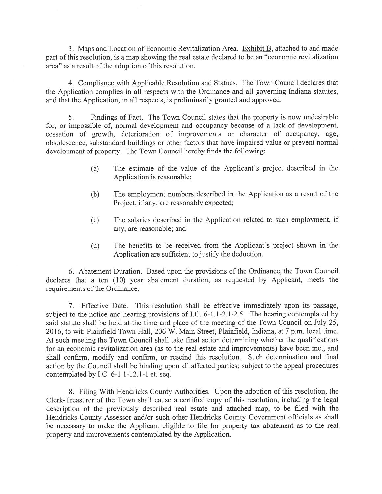3. Maps and Location of Economic Revitalization Area. Exhibit B, attached to and made par<sup>t</sup> of this resolution, is <sup>a</sup> map showing the real estate declared to be an "economic revitalization area" as <sup>a</sup> result of the adoption of this resolution.

4. Compliance with Applicable Resolution and Statues. The Town Council declares that the Application complies in all respects with the Ordinance and all governing Indiana statutes, and that the Application, in all respects, is preliminarily granted and approved.

Findings of Fact. The Town Council states that the property is now undesirable for, or impossible of, normal development and occupancy because of <sup>a</sup> lack of development, cessation of growth, deterioration of improvements or character of occupancy, age, obsolescence, substandard buildings or other factors that have impaired value or preven<sup>t</sup> normal development of property. The Town Council hereby finds the following:

- (a) The estimate of the value of the Applicant's project described in the Application is reasonable;
- (b) The employment numbers described in the Application as <sup>a</sup> result of the Project, if any, are reasonably expected;
- (c) The salaries described in the Application related to such employment, if any, are reasonable; and
- (d) The benefits to be received from the Applicant's project shown in the Application are sufficient to justify the deduction.

6. Abatement Duration. Based upon the provisions of the Ordinance, the Town Council declares that <sup>a</sup> ten (10) year abatement duration, as requested by Applicant, meets the requirements of the Ordinance.

7. Effective Date. This resolution shall be effective immediately upon its passage, subject to the notice and hearing provisions of I.C. 6-1.1-2.1-2.5. The hearing contemplated by said statute shall be held at the time and place of the meeting of the Town Council on July 25, 2016, to wit: Plainfield Town Hall, 206 W. Main Street, Plainfield, Indiana, at 7 p.m. local time. At such meeting the Town Council shall take final action determining whether the qualifications for an economic revitalization area (as to the real estate and improvements) have been met, and shall confirm, modify and confirm, or rescind this resolution. Such determination and final action by the Council shall be binding upon all affected parties; subject to the appeal procedures contemplated by I.C. 6-1.1-12.1-1 et. seq.

8. Filing With Hendricks County Authorities. Upon the adoption of this resolution, the Clerk-Treasurer of the Town shall cause <sup>a</sup> certified copy of this resolution, including the legal description of the previously described real estate and attached map, to be filed with the Hendricks County Assessor and/or such other Hendricks County Government officials as shall be necessary to make the Applicant eligible to file for property tax abatement as to the real property and improvements contemplated by the Application.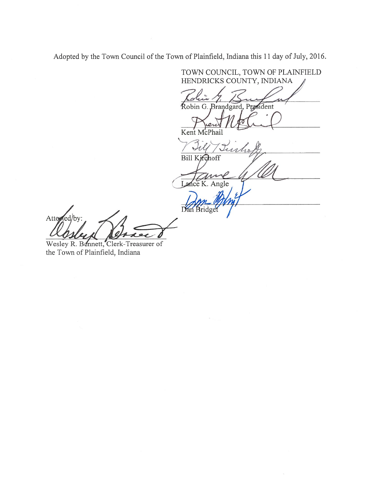Adopted by the Town Council of the Town of Plainfield, Indiana this 11 day of July, 2016.

TOWN COUNCIL, TOWN OF PLAINFIELD HENDRICKS COUNTY, INDIANA <sup>A</sup> Robin G. Brandgard, President Kent McPhail ur , Bill Kirchoff Lance K. Angle  $\sum_{\ell}$ Dan Bridge Attened/by: Wesley R. Bennett, Clerk-Treasurer of

the Town of Plainfield, Indiana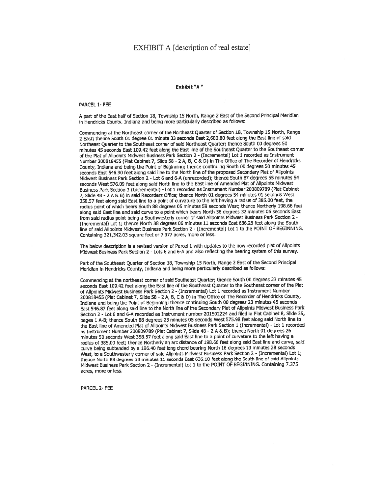## EXHIBIT A [description of real estate]

#### Exhibit "A"

#### PARCEL 1- FEE

<sup>A</sup> par<sup>t</sup> of the East half of Section 18, Township <sup>15</sup> North, Range <sup>2</sup> East of the Second Principal Meridian In Hendricks County, Indiana and being mote particularly described as follows:

Commencing at the Northeast corner of the Northeast Quarter of Section 18, Township <sup>15</sup> North, Range <sup>2</sup> East; thence South <sup>01</sup> degree <sup>01</sup> mInute <sup>33</sup> seconds East 2,680.80 feet along the East tine of said Northeast Quarter to the Southeast corner of said Northeast Quarter; thence South 00 degrees 50 minutes 45 seconds East 109.42 feet along the East line of the Southeast Quarter to the Southeast corner of the Plat of Alipoints Midwest Business Park Section <sup>2</sup> - (Incremental) Lot <sup>1</sup> recorded as Instrument Number <sup>200818455</sup> fPlat Cabinet 7, Slide 58 - <sup>2</sup> A, B, <sup>C</sup> & D) In The Office of The Recorder of Hendricks County, Indiana and being the Point of Beginning; thence continuing South <sup>00</sup> degrees <sup>50</sup> minutes <sup>45</sup> seconds East 546.90 feet along said line to the North line of the propose<sup>d</sup> Secondary Plat of Ailpoints Midwest Business Park Section 2 - Lot 6 and 6-A (unrecorded); thence South 87 degrees 55 minutes 54 seconds West 576.09 feet along said North line to the East line of Amended Plat of Alipoints Midwest Business Park Section 1 (Incremental) - Lot 1 recorded as Instrument Number 200809789 (Plat Cabinet 7, Slide <sup>48</sup> - <sup>2</sup> <sup>A</sup> & B) in said Recorders Office; thence North <sup>01</sup> degrees <sup>54</sup> mInutes <sup>01</sup> seconds West 358.57 feet along said East line to <sup>a</sup> point of curvature to the left having <sup>a</sup> radius of 385,00 feet, the radius point of which bears South <sup>88</sup> degrees <sup>05</sup> mInutes <sup>59</sup> seconds West; thence Northerly 198.66 feet along said East tine and said curve to <sup>a</sup> point which bears North <sup>58</sup> degrees <sup>32</sup> mInutes <sup>06</sup> seconds East from said radius point being <sup>a</sup> Southwesterly corner of said Altpolnts Midwest Business Park Section <sup>2</sup> - (Incremental) Lot 1; thence North <sup>88</sup> degrees <sup>06</sup> mInutes <sup>11</sup> seconds East 636.28 feet along the South line of said Ailpoints Midwest Business Park Section <sup>2</sup> - (Incremental) Lot <sup>1</sup> to the POINT OF BEGINNING. Containing 321,342.03 square feet or 7.377 acres, more or less.

The below description is a revised version of Parcel 1 with updates to the now recorded plat of Allpoints Midwest Business Park Section 2 - Lots 6 and 6-A and also reflecting the bearing system of this survey.

Part of the Southeast Quarter of Section 18, Township 15 North, Range 2 East of the Second Principal Meridian in Hendricks County, Indiana and being more particularly described as follows:

Commencing at the northeast corner of said Southeast Quarter; thence South <sup>00</sup> degrees <sup>23</sup> mInutes <sup>45</sup> seconds East 109.42 feet along the East tine of the Southeast Quarter to the Southeast corner of the Plat of Allpolnts Midwest Business Park Section <sup>2</sup> - (Incremental) Lot <sup>1</sup> recorded as Instrument Number <sup>200818455</sup> (Plat Cabinet 7, Slide <sup>58</sup> - <sup>2</sup> A, B, <sup>C</sup> & D) In The Office of The Recorder of Hendricks County, Indiana and being the Point of Beginning; thence continuing South 00 degrees 23 minutes 45 seconds East 546.87 feet along said line to the North line of the Secondary Plat of Ailpoints Midwest Business Park Section 2 - Lot 6 and 6-A recorded as Instrument number 201502224 and filed in Piat Cabinet 8, SlIde 35, pages <sup>1</sup> A-B; thence South <sup>88</sup> degrees <sup>23</sup> mInutes <sup>05</sup> seconds West 575.9B feet along said North line to the East line of Amended Piat of Alipoints Midwest Business Park Section 1 (Incremental) - Lot 1 recorded as Instrument Number 200809789 (Plat Cabinet 7, Slide 48 - 2 A & B); thence North 01 degrees 26 minutes 50 seconds West 358.57 feet along said East line to a point of curvature to the left having a radius of 385,00 feet; thence Northerly an arc distance of 198.66 feet along said East line and curve, said curve being subtended by <sup>a</sup> 196.10 feet long chord beating North <sup>16</sup> degrees <sup>13</sup> mInutes <sup>28</sup> seconds West, to <sup>a</sup> Southwesterly corner of said Allpoints Midwest Business Park Section <sup>2</sup> - (Incremental) Lot 1; thence North <sup>88</sup> degrees <sup>33</sup> minutes <sup>11</sup> seconds East 636.10 feet along the South line of said Alipoints Midwest Business Park SectIon 2 - f Incremental) Lot 1. to the POINT OF BEGINNING. Containing 7.375 acres, more or less.

PARCEL 2- FEE